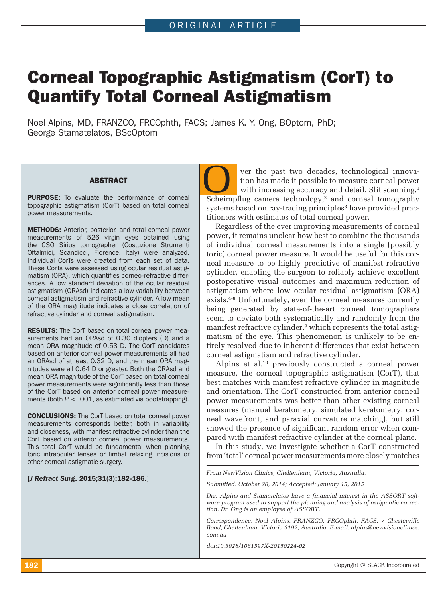# Corneal Topographic Astigmatism (CorT) to Quantify Total Corneal Astigmatism

Noel Alpins, MD, FRANZCO, FRCOphth, FACS; James K. Y. Ong, BOptom, PhD; George Stamatelatos, BScOptom

#### ABSTRACT

**PURPOSE:** To evaluate the performance of corneal topographic astigmatism (CorT) based on total corneal power measurements.

METHODS: Anterior, posterior, and total corneal power measurements of 526 virgin eyes obtained using the CSO Sirius tomographer (Costuzione Strumenti Oftalmici, Scandicci, Florence, Italy) were analyzed. Individual CorTs were created from each set of data. These CorTs were assessed using ocular residual astigmatism (ORA), which quantifies corneo-refractive differences. A low standard deviation of the ocular residual astigmatism (ORAsd) indicates a low variability between corneal astigmatism and refractive cylinder. A low mean of the ORA magnitude indicates a close correlation of refractive cylinder and corneal astigmatism.

RESULTS: The CorT based on total corneal power measurements had an ORAsd of 0.30 diopters (D) and a mean ORA magnitude of 0.53 D. The CorT candidates based on anterior corneal power measurements all had an ORAsd of at least 0.32 D, and the mean ORA magnitudes were all 0.64 D or greater. Both the ORAsd and mean ORA magnitude of the CorT based on total corneal power measurements were significantly less than those of the CorT based on anterior corneal power measurements (both *P* < .001, as estimated via bootstrapping).

CONCLUSIONS: The CorT based on total corneal power measurements corresponds better, both in variability and closeness, with manifest refractive cylinder than the CorT based on anterior corneal power measurements. This total CorT would be fundamental when planning toric intraocular lenses or limbal relaxing incisions or other corneal astigmatic surgery.

[*J Refract Surg*. 2015;31(3):182-186.]

ver the past two decades, technological innovation has made it possible to measure corneal power with increasing accuracy and detail. Slit scanning,<sup>1</sup> **CON** ver the past two decades, technological innovation has made it possible to measure corneal power with increasing accuracy and detail. Slit scanning,<sup>1</sup> Scheimpflug camera technology,<sup>2</sup> and corneal tomography systems based on ray-tracing principles<sup>3</sup> have provided practitioners with estimates of total corneal power.

Regardless of the ever improving measurements of corneal power, it remains unclear how best to combine the thousands of individual corneal measurements into a single (possibly toric) corneal power measure. It would be useful for this corneal measure to be highly predictive of manifest refractive cylinder, enabling the surgeon to reliably achieve excellent postoperative visual outcomes and maximum reduction of astigmatism where low ocular residual astigmatism (ORA) exists.<sup>4-8</sup> Unfortunately, even the corneal measures currently being generated by state-of-the-art corneal tomographers seem to deviate both systematically and randomly from the manifest refractive cylinder,<sup>9</sup> which represents the total astigmatism of the eye. This phenomenon is unlikely to be entirely resolved due to inherent differences that exist between corneal astigmatism and refractive cylinder.

Alpins et al.10 previously constructed a corneal power measure, the corneal topographic astigmatism (CorT), that best matches with manifest refractive cylinder in magnitude and orientation. The CorT constructed from anterior corneal power measurements was better than other existing corneal measures (manual keratometry, simulated keratometry, corneal wavefront, and paraxial curvature matching), but still showed the presence of significant random error when compared with manifest refractive cylinder at the corneal plane.

In this study, we investigate whether a CorT constructed from 'total' corneal power measurements more closely matches

*From NewVision Clinics, Cheltenham, Victoria, Australia.*

*Submitted: October 20, 2014; Accepted: January 15, 2015*

*Drs. Alpins and Stamatelatos have a financial interest in the ASSORT software program used to support the planning and analysis of astigmatic correction. Dr. Ong is an employee of ASSORT.*

*Correspondence: Noel Alpins, FRANZCO, FRCOphth, FACS, 7 Chesterville Road, Cheltenham, Victoria 3192, Australia. E-mail: alpins@newvisionclinics. com.au*

*doi:10.3928/1081597X-20150224-02*

**182** Copyright © SLACK Incorporated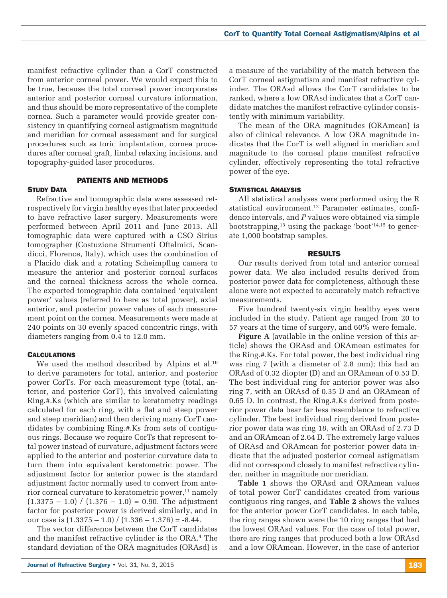manifest refractive cylinder than a CorT constructed from anterior corneal power. We would expect this to be true, because the total corneal power incorporates anterior and posterior corneal curvature information, and thus should be more representative of the complete cornea. Such a parameter would provide greater consistency in quantifying corneal astigmatism magnitude and meridian for corneal assessment and for surgical procedures such as toric implantation, cornea procedures after corneal graft, limbal relaxing incisions, and topography-guided laser procedures.

# PATIENTS AND METHODS

# **STUDY DATA**

Refractive and tomographic data were assessed retrospectively for virgin healthy eyes that later proceeded to have refractive laser surgery. Measurements were performed between April 2011 and June 2013. All tomographic data were captured with a CSO Sirius tomographer (Costuzione Strumenti Oftalmici, Scandicci, Florence, Italy), which uses the combination of a Placido disk and a rotating Scheimpflug camera to measure the anterior and posterior corneal surfaces and the corneal thickness across the whole cornea. The exported tomographic data contained 'equivalent power' values (referred to here as total power), axial anterior, and posterior power values of each measurement point on the cornea. Measurements were made at 240 points on 30 evenly spaced concentric rings, with diameters ranging from 0.4 to 12.0 mm.

# **CALCULATIONS**

We used the method described by Alpins et al.<sup>10</sup> to derive parameters for total, anterior, and posterior power CorTs. For each measurement type (total, anterior, and posterior CorT), this involved calculating Ring.#.Ks (which are similar to keratometry readings calculated for each ring, with a flat and steep power and steep meridian) and then deriving many CorT candidates by combining Ring.#.Ks from sets of contiguous rings. Because we require CorTs that represent total power instead of curvature, adjustment factors were applied to the anterior and posterior curvature data to turn them into equivalent keratometric power. The adjustment factor for anterior power is the standard adjustment factor normally used to convert from anterior corneal curvature to keratometric power,<sup>11</sup> namely  $(1.3375 - 1.0) / (1.376 - 1.0) = 0.90$ . The adjustment factor for posterior power is derived similarly, and in our case is  $(1.3375 - 1.0) / (1.336 - 1.376) = -8.44$ .

The vector difference between the CorT candidates and the manifest refractive cylinder is the ORA.<sup>4</sup> The standard deviation of the ORA magnitudes (ORAsd) is a measure of the variability of the match between the CorT corneal astigmatism and manifest refractive cylinder. The ORAsd allows the CorT candidates to be ranked, where a low ORAsd indicates that a CorT candidate matches the manifest refractive cylinder consistently with minimum variability.

The mean of the ORA magnitudes (ORAmean) is also of clinical relevance. A low ORA magnitude indicates that the CorT is well aligned in meridian and magnitude to the corneal plane manifest refractive cylinder, effectively representing the total refractive power of the eye.

## **STATISTICAL ANALYSIS**

All statistical analyses were performed using the R statistical environment.<sup>12</sup> Parameter estimates, confidence intervals, and *P* values were obtained via simple bootstrapping,<sup>13</sup> using the package 'boot'<sup>14,15</sup> to generate 1,000 bootstrap samples.

## RESULTS

Our results derived from total and anterior corneal power data. We also included results derived from posterior power data for completeness, although these alone were not expected to accurately match refractive measurements.

Five hundred twenty-six virgin healthy eyes were included in the study. Patient age ranged from 20 to 57 years at the time of surgery, and 60% were female.

**Figure A** (available in the online version of this article) shows the ORAsd and ORAmean estimates for the Ring.#.Ks. For total power, the best individual ring was ring 7 (with a diameter of 2.8 mm); this had an ORAsd of 0.32 diopter (D) and an ORAmean of 0.53 D. The best individual ring for anterior power was also ring 7, with an ORAsd of 0.35 D and an ORAmean of 0.65 D. In contrast, the Ring.#.Ks derived from posterior power data bear far less resemblance to refractive cylinder. The best individual ring derived from posterior power data was ring 18, with an ORAsd of 2.73 D and an ORAmean of 2.64 D. The extremely large values of ORAsd and ORAmean for posterior power data indicate that the adjusted posterior corneal astigmatism did not correspond closely to manifest refractive cylinder, neither in magnitude nor meridian.

**Table 1** shows the ORAsd and ORAmean values of total power CorT candidates created from various contiguous ring ranges, and **Table 2** shows the values for the anterior power CorT candidates. In each table, the ring ranges shown were the 10 ring ranges that had the lowest ORAsd values. For the case of total power, there are ring ranges that produced both a low ORAsd and a low ORAmean. However, in the case of anterior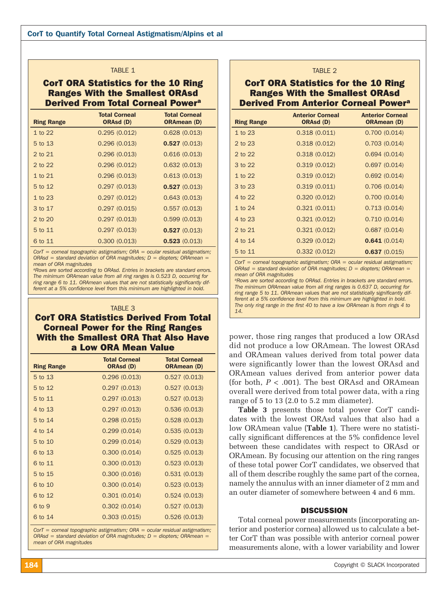#### TABLE 1

CorT ORA Statistics for the 10 Ring Ranges With the Smallest ORAsd Derived From Total Corneal Powera

| <b>Ring Range</b> | <b>Total Corneal</b><br>ORAsd (D) | <b>Total Corneal</b><br><b>ORAmean (D)</b> |
|-------------------|-----------------------------------|--------------------------------------------|
| 1 to 22           | 0.295(0.012)                      | 0.628(0.013)                               |
| 5 to 13           | 0.296(0.013)                      | 0.527(0.013)                               |
| 2 to 21           | 0.296(0.013)                      | 0.616(0.013)                               |
| 2 to 22           | 0.296(0.012)                      | 0.632(0.013)                               |
| $1$ to $21$       | 0.296(0.013)                      | 0.613(0.013)                               |
| 5 to 12           | 0.297(0.013)                      | 0.527(0.013)                               |
| $1$ to $23$       | 0.297(0.012)                      | 0.643(0.013)                               |
| 3 to 17           | 0.297(0.015)                      | 0.557(0.013)                               |
| 2 to 20           | 0.297(0.013)                      | 0.599(0.013)                               |
| 5 to 11           | 0.297(0.013)                      | 0.527(0.013)                               |
| 6 to 11           | 0.300(0.013)                      | 0.523(0.013)                               |

*CorT = corneal topographic astigmatism; ORA = ocular residual astigmatism; ORAsd = standard deviation of ORA magnitudes; D = diopters; ORAmean = mean of ORA magnitudes*

*aRows are sorted according to ORAsd. Entries in brackets are standard errors. The minimum ORAmean value from all ring ranges is 0.523 D, occurring for ring range 6 to 11. ORAmean values that are not statistically significantly different at a 5% confidence level from this minimum are highlighted in bold.*

# *14.* TABLE 3 CorT ORA Statistics Derived From Total Corneal Power for the Ring Ranges With the Smallest ORA That Also Have a Low ORA Mean Value

| <b>Ring Range</b> | <b>Total Corneal</b><br>ORAsd (D) | <b>Total Corneal</b><br><b>ORAmean (D)</b> |
|-------------------|-----------------------------------|--------------------------------------------|
| 5 to 13           | 0.296(0.013)                      | 0.527(0.013)                               |
| 5 to 12           | 0.297(0.013)                      | 0.527(0.013)                               |
| 5 to 11           | 0.297(0.013)                      | 0.527(0.013)                               |
| 4 to 13           | 0.297(0.013)                      | 0.536(0.013)                               |
| 5 to 14           | 0.298(0.015)                      | 0.528(0.013)                               |
| 4 to 14           | 0.299(0.014)                      | 0.535(0.013)                               |
| 5 to 10           | 0.299(0.014)                      | 0.529(0.013)                               |
| 6 to 13           | 0.300(0.014)                      | 0.525(0.013)                               |
| 6 to 11           | 0.300(0.013)                      | 0.523(0.013)                               |
| 5 to 15           | 0.300(0.016)                      | 0.531(0.013)                               |
| 6 to 10           | 0.300(0.014)                      | 0.523(0.013)                               |
| 6 to 12           | 0.301(0.014)                      | 0.524(0.013)                               |
| 6 to 9            | 0.302(0.014)                      | 0.527(0.013)                               |
| 6 to 14           | 0.303(0.015)                      | 0.526(0.013)                               |

*CorT = corneal topographic astigmatism; ORA = ocular residual astigmatism; ORAsd = standard deviation of ORA magnitudes; D = diopters; ORAmean = mean of ORA magnitudes*

# TABLE 2

# CorT ORA Statistics for the 10 Ring Ranges With the Smallest ORAsd Derived From Anterior Corneal Powera

| <b>Ring Range</b> | <b>Anterior Corneal</b><br>ORAsd (D) | <b>Anterior Corneal</b><br><b>ORAmean (D)</b> |
|-------------------|--------------------------------------|-----------------------------------------------|
| $1$ to $23$       | 0.318(0.011)                         | 0.700(0.014)                                  |
| 2 to 23           | 0.318(0.012)                         | 0.703(0.014)                                  |
| 2 to 22           | 0.318(0.012)                         | 0.694(0.014)                                  |
| 3 to 22           | 0.319(0.012)                         | 0.697(0.014)                                  |
| $1$ to $22$       | 0.319(0.012)                         | 0.692(0.014)                                  |
| 3 to 23           | 0.319(0.011)                         | 0.706(0.014)                                  |
| 4 to 22           | 0.320(0.012)                         | 0.700(0.014)                                  |
| 1 to 24           | 0.321(0.011)                         | 0.713(0.014)                                  |
| 4 to 23           | 0.321(0.012)                         | 0.710(0.014)                                  |
| 2 to 21           | 0.321(0.012)                         | 0.687(0.014)                                  |
| 4 to 14           | 0.329(0.012)                         | 0.641(0.014)                                  |
| 5 to 11           | 0.332(0.012)                         | 0.637(0.015)                                  |

*CorT = corneal topographic astigmatism; ORA = ocular residual astigmatism; ORAsd = standard deviation of ORA magnitudes; D = diopters; ORAmean = mean of ORA magnitudes*

*aRows are sorted according to ORAsd. Entries in brackets are standard errors. The minimum ORAmean value from all ring ranges is 0.637 D, occurring for ring range 5 to 11. ORAmean values that are not statistically significantly different at a 5% confidence level from this minimum are highlighted in bold. The only ring range in the first 40 to have a low ORAmean is from rings 4 to* 

power, those ring ranges that produced a low ORAsd did not produce a low ORAmean. The lowest ORAsd and ORAmean values derived from total power data were significantly lower than the lowest ORAsd and ORAmean values derived from anterior power data (for both, *P* < .001). The best ORAsd and ORAmean overall were derived from total power data, with a ring range of 5 to 13 (2.0 to 5.2 mm diameter).

**Table 3** presents those total power CorT candidates with the lowest ORAsd values that also had a low ORAmean value (**Table 1**). There were no statistically significant differences at the 5% confidence level between these candidates with respect to ORAsd or ORAmean. By focusing our attention on the ring ranges of these total power CorT candidates, we observed that all of them describe roughly the same part of the cornea, namely the annulus with an inner diameter of 2 mm and an outer diameter of somewhere between 4 and 6 mm.

## **DISCUSSION**

Total corneal power measurements (incorporating anterior and posterior cornea) allowed us to calculate a better CorT than was possible with anterior corneal power measurements alone, with a lower variability and lower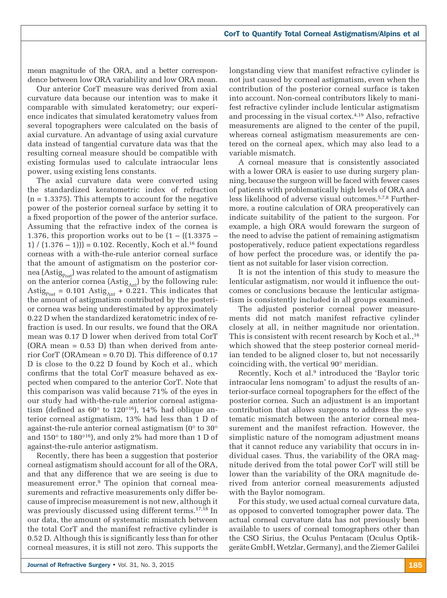mean magnitude of the ORA, and a better correspondence between low ORA variability and low ORA mean.

Our anterior CorT measure was derived from axial curvature data because our intention was to make it comparable with simulated keratometry; our experience indicates that simulated keratometry values from several topographers were calculated on the basis of axial curvature. An advantage of using axial curvature data instead of tangential curvature data was that the resulting corneal measure should be compatible with existing formulas used to calculate intraocular lens power, using existing lens constants.

The axial curvature data were converted using the standardized keratometric index of refraction  $(n = 1.3375)$ . This attempts to account for the negative power of the posterior corneal surface by setting it to a fixed proportion of the power of the anterior surface. Assuming that the refractive index of the cornea is 1.376, this proportion works out to be  $(1 - ((1.3375 -$ 1)  $(1.376 - 1)$  = 0.102. Recently, Koch et al.<sup>16</sup> found corneas with a with-the-rule anterior corneal surface that the amount of astigmatism on the posterior cornea ( $\text{Astig}_{\text{Post}}$ ) was related to the amount of astigmatism on the anterior cornea (Astig<sub>Ant</sub>) by the following rule: Astig<sub>Post</sub> = 0.101 Astig<sub>Ant</sub> + 0.221. This indicates that the amount of astigmatism contributed by the posterior cornea was being underestimated by approximately 0.22 D when the standardized keratometric index of refraction is used. In our results, we found that the ORA mean was 0.17 D lower when derived from total CorT  $(ORA$  mean = 0.53 D) than when derived from anterior CorT (ORAmean = 0.70 D). This difference of 0.17 D is close to the 0.22 D found by Koch et al., which confirms that the total CorT measure behaved as expected when compared to the anterior CorT. Note that this comparison was valid because 71% of the eyes in our study had with-the-rule anterior corneal astigmatism (defined as  $60^{\circ}$  to  $120^{\circ 16}$ ),  $14\%$  had oblique anterior corneal astigmatism, 13% had less than 1 D of against-the-rule anterior corneal astigmatism (0° to 30° and 150° to 180°16), and only 2% had more than 1 D of against-the-rule anterior astigmatism.

Recently, there has been a suggestion that posterior corneal astigmatism should account for all of the ORA, and that any difference that we are seeing is due to measurement error.9 The opinion that corneal measurements and refractive measurements only differ because of imprecise measurement is not new, although it was previously discussed using different terms.<sup>17,18</sup> In our data, the amount of systematic mismatch between the total CorT and the manifest refractive cylinder is 0.52 D. Although this is significantly less than for other corneal measures, it is still not zero. This supports the

longstanding view that manifest refractive cylinder is not just caused by corneal astigmatism, even when the contribution of the posterior corneal surface is taken into account. Non-corneal contributors likely to manifest refractive cylinder include lenticular astigmatism and processing in the visual cortex.4,19 Also, refractive measurements are aligned to the center of the pupil, whereas corneal astigmatism measurements are centered on the corneal apex, which may also lead to a variable mismatch.

A corneal measure that is consistently associated with a lower ORA is easier to use during surgery planning, because the surgeon will be faced with fewer cases of patients with problematically high levels of ORA and less likelihood of adverse visual outcomes.5,7,8 Furthermore, a routine calculation of ORA preoperatively can indicate suitability of the patient to the surgeon. For example, a high ORA would forewarn the surgeon of the need to advise the patient of remaining astigmatism postoperatively, reduce patient expectations regardless of how perfect the procedure was, or identify the patient as not suitable for laser vision correction.

It is not the intention of this study to measure the lenticular astigmatism, nor would it influence the outcomes or conclusions because the lenticular astigmatism is consistently included in all groups examined.

The adjusted posterior corneal power measurements did not match manifest refractive cylinder closely at all, in neither magnitude nor orientation. This is consistent with recent research by Koch et al.,<sup>16</sup> which showed that the steep posterior corneal meridian tended to be aligned closer to, but not necessarily coinciding with, the vertical 90° meridian.

Recently, Koch et al.<sup>9</sup> introduced the 'Baylor toric intraocular lens nomogram' to adjust the results of anterior-surface corneal topographers for the effect of the posterior cornea. Such an adjustment is an important contribution that allows surgeons to address the systematic mismatch between the anterior corneal measurement and the manifest refraction. However, the simplistic nature of the nomogram adjustment means that it cannot reduce any variability that occurs in individual cases. Thus, the variability of the ORA magnitude derived from the total power CorT will still be lower than the variability of the ORA magnitude derived from anterior corneal measurements adjusted with the Baylor nomogram.

For this study, we used actual corneal curvature data, as opposed to converted tomographer power data. The actual corneal curvature data has not previously been available to users of corneal tomographers other than the CSO Sirius, the Oculus Pentacam (Oculus Optikgeräte GmbH, Wetzlar, Germany), and the Ziemer Galilei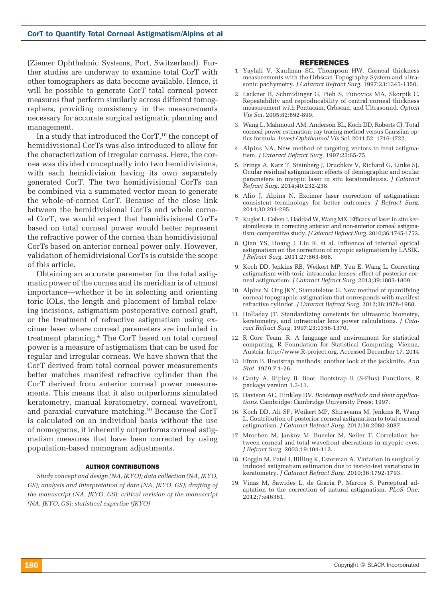(Ziemer Ophthalmic Systems, Port, Switzerland). Further studies are underway to examine total CorT with other tomographers as data become available. Hence, it will be possible to generate CorT total corneal power measures that perform similarly across different tomographers, providing consistency in the measurements necessary for accurate surgical astigmatic planning and management.

In a study that introduced the CorT,<sup>10</sup> the concept of hemidivisional CorTs was also introduced to allow for the characterization of irregular corneas. Here, the cornea was divided conceptually into two hemidivisions, with each hemidivision having its own separately generated CorT. The two hemidivisional CorTs can be combined via a summated vector mean to generate the whole-of-cornea CorT. Because of the close link between the hemidivisional CorTs and whole corneal CorT, we would expect that hemidivisional CorTs based on total corneal power would better represent the refractive power of the cornea than hemidivisional CorTs based on anterior corneal power only. However, validation of hemidivisional CorTs is outside the scope of this article.

Obtaining an accurate parameter for the total astigmatic power of the cornea and its meridian is of utmost importance—whether it be in selecting and orienting toric IOLs, the length and placement of limbal relaxing incisions, astigmatism postoperative corneal graft, or the treatment of refractive astigmatism using excimer laser where corneal parameters are included in treatment planning.4 The CorT based on total corneal power is a measure of astigmatism that can be used for regular and irregular corneas. We have shown that the CorT derived from total corneal power measurements better matches manifest refractive cylinder than the CorT derived from anterior corneal power measurements. This means that it also outperforms simulated keratometry, manual keratometry, corneal wavefront, and paraxial curvature matching.10 Because the CorT is calculated on an individual basis without the use of nomograms, it inherently outperforms corneal astigmatism measures that have been corrected by using population-based nomogram adjustments.

#### AUTHOR CONTRIBUTIONS

*Study concept and design (NA, JKYO); data collection (NA, JKYO, GS); analysis and interpretation of data (NA, JKYO, GS); drafting of the manuscript (NA, JKYO, GS); critical revision of the manuscript (NA, JKYO, GS); statistical expertise (JKYO)*

#### REFERENCES

- 1. Yaylali V, Kaufman SC, Thompson HW. Corneal thickness measurements with the Orbscan Topography System and ultrasonic pachymetry. *J Cataract Refract Surg.* 1997;23:1345-1350.
- 2. Lackner B, Schmidinger G, Pieh S, Funovics MA, Skorpik C. Repeatability and reproducability of central corneal thickness measurement with Pentacam, Orbscan, and Ultrasound. *Optom Vis Sci.* 2005;82:892-899.
- 3. Wang L, Mahmoud AM, Anderson BL, Koch DD, Roberts CJ. Total corneal power estimation: ray tracing method versus Gaussian optics formula. *Invest Ophthalmol Vis Sci.* 2011;52: 1716-1722.
- 4. Alpins NA. New method of targeting vectors to treat astigmatism. *J Cataract Refract Surg.* 1997;23:65-75.
- 5. Frings A, Katz T, Steinberg J, Druchkiv V, Richard G, Linke SJ. Ocular residual astigmatism: effects of demographic and ocular parameters in myopic laser in situ keratomileusis. *J Cataract Refract Surg.* 2014;40:232-238.
- 6. Alio J, Alpins N. Excimer laser correction of astigmatism: consistent terminology for better outcomes. *J Refract Surg.* 2014;30:294-295.
- 7. Kugler L, Cohen I, Haddad W, Wang MX. Efficacy of laser in situ keratomileusis in correcting anterior and non-anterior corneal astigmatism: comparative study. *J Cataract Refract Surg.* 2010;36:1745-1752.
- 8. Qian YS, Huang J, Liu R, et al. Influence of internal optical astigmatism on the correction of myopic astigmatism by LASIK. *J Refract Surg.* 2011;27:863-868.
- 9. Koch DD, Jenkins RB, Weikert MP, Yeu E, Wang L. Correcting astigmatism with toric intraocular lenses: effect of posterior corneal astigmatism. *J Cataract Refract Surg.* 2013;39:1803-1809.
- 10. Alpins N, Ong JKY, Stamatelatos G. New method of quantifying corneal topographic astigmatism that corresponds with manifest refractive cylinder. *J Cataract Refract Surg.* 2012;38:1978-1988.
- 11. Holladay JT. Standardizing constants for ultrasonic biometry, keratometry, and intraocular lens power calculations. *J Cataract Refract Surg.* 1997;23:1356-1370.
- 12. R Core Team. R: A language and environment for statistical computing. R Foundation for Statistical Computing, Vienna, Austria. http://www.R-project.org. Accessed December 17, 2014
- 13. Efron B. Bootstrap methods: another look at the jackknife. *Ann Stat.* 1979;7:1-26.
- 14. Canty A, Ripley B. Boot: Bootstrap R (S-Plus) Functions. R package version 1.3-11.
- 15. Davison AC, Hinkley DV. *Bootstrap methods and their applications.* Cambridge: Cambridge University Press; 1997.
- 16. Koch DD, Ali SF, Weikert MP, Shirayama M, Jenkins R, Wang L. Contribution of posterior corneal astigmatism to total corneal astigmatism. *J Cataract Refract Surg.* 2012;38:2080-2087.
- 17. Mrochen M, Jankov M, Bueeler M, Seiler T. Correlation between corneal and total wavefront aberrations in myopic eyes. *J Refract Surg.* 2003;19:104-112.
- 18. Goggin M, Patel I, Billing K, Esterman A. Variation in surgically induced astigmatism estimation due to test-to-test variations in keratometry. *J Cataract Refract Surg.* 2010;36:1792-1793.
- 19. Vinas M, Sawides L, de Gracia P, Marcos S. Perceptual adaptation to the correction of natural astigmatism. *PLoS One.* 2012;7:e46361.